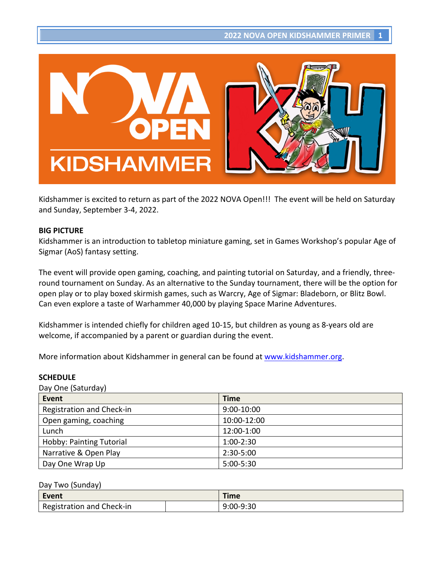

Kidshammer is excited to return as part of the 2022 NOVA Open!!! The event will be held on Saturday and Sunday, September 3-4, 2022.

#### **BIG PICTURE**

Kidshammer is an introduction to tabletop miniature gaming, set in Games Workshop's popular Age of Sigmar (AoS) fantasy setting.

The event will provide open gaming, coaching, and painting tutorial on Saturday, and a friendly, threeround tournament on Sunday. As an alternative to the Sunday tournament, there will be the option for open play or to play boxed skirmish games, such as Warcry, Age of Sigmar: Bladeborn, or Blitz Bowl. Can even explore a taste of Warhammer 40,000 by playing Space Marine Adventures.

Kidshammer is intended chiefly for children aged 10-15, but children as young as 8-years old are welcome, if accompanied by a parent or guardian during the event.

More information about Kidshammer in general can be found at www.kidshammer.org.

### **SCHEDULE**

Day One (Saturday)

| Event                           | <b>Time</b>   |
|---------------------------------|---------------|
| Registration and Check-in       | 9:00-10:00    |
| Open gaming, coaching           | 10:00-12:00   |
| Lunch                           | 12:00-1:00    |
| <b>Hobby: Painting Tutorial</b> | $1:00 - 2:30$ |
| Narrative & Open Play           | 2:30-5:00     |
| Day One Wrap Up                 | $5:00 - 5:30$ |

#### Day Two (Sunday)

| Event                     | Time      |
|---------------------------|-----------|
| Registration and Check-in | 9:00-9:30 |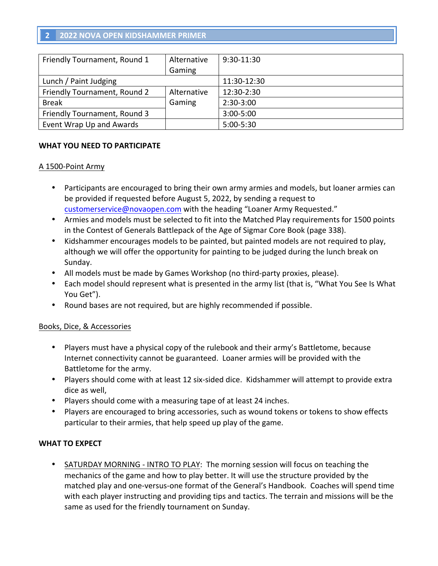# **2 2022 NOVA OPEN KIDSHAMMER PRIMER**

| Friendly Tournament, Round 1 | Alternative | 9:30-11:30    |
|------------------------------|-------------|---------------|
|                              | Gaming      |               |
| Lunch / Paint Judging        |             | 11:30-12:30   |
| Friendly Tournament, Round 2 | Alternative | 12:30-2:30    |
| <b>Break</b>                 | Gaming      | $2:30-3:00$   |
| Friendly Tournament, Round 3 |             | $3:00 - 5:00$ |
| Event Wrap Up and Awards     |             | 5:00-5:30     |

### WHAT YOU NEED TO PARTICIPATE

### A 1500-Point Army

- Participants are encouraged to bring their own army armies and models, but loaner armies can be provided if requested before August 5, 2022, by sending a request to customerservice@novaopen.com with the heading "Loaner Army Requested."
- Armies and models must be selected to fit into the Matched Play requirements for 1500 points in the Contest of Generals Battlepack of the Age of Sigmar Core Book (page 338).
- Kidshammer encourages models to be painted, but painted models are not required to play, although we will offer the opportunity for painting to be judged during the lunch break on Sunday.
- All models must be made by Games Workshop (no third-party proxies, please).
- Each model should represent what is presented in the army list (that is, "What You See Is What You Get").
- Round bases are not required, but are highly recommended if possible.

### Books, Dice, & Accessories

- Players must have a physical copy of the rulebook and their army's Battletome, because Internet connectivity cannot be guaranteed. Loaner armies will be provided with the Battletome for the army.
- Players should come with at least 12 six-sided dice. Kidshammer will attempt to provide extra dice as well,
- Players should come with a measuring tape of at least 24 inches.
- Players are encouraged to bring accessories, such as wound tokens or tokens to show effects particular to their armies, that help speed up play of the game.

### **WHAT TO EXPECT**

SATURDAY MORNING - INTRO TO PLAY: The morning session will focus on teaching the mechanics of the game and how to play better. It will use the structure provided by the matched play and one-versus-one format of the General's Handbook. Coaches will spend time with each player instructing and providing tips and tactics. The terrain and missions will be the same as used for the friendly tournament on Sunday.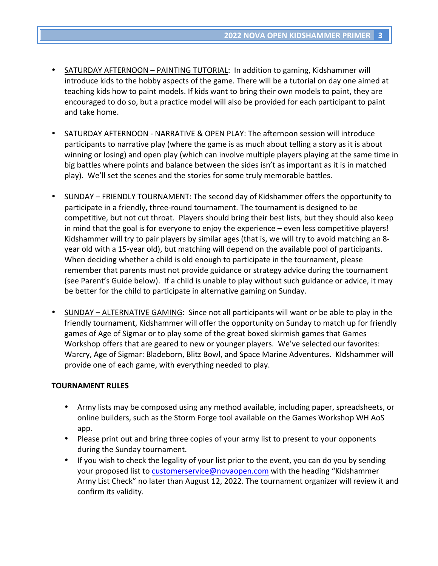- SATURDAY AFTERNOON PAINTING TUTORIAL: In addition to gaming, Kidshammer will introduce kids to the hobby aspects of the game. There will be a tutorial on day one aimed at teaching kids how to paint models. If kids want to bring their own models to paint, they are encouraged to do so, but a practice model will also be provided for each participant to paint and take home.
- SATURDAY AFTERNOON NARRATIVE & OPEN PLAY: The afternoon session will introduce participants to narrative play (where the game is as much about telling a story as it is about winning or losing) and open play (which can involve multiple players playing at the same time in big battles where points and balance between the sides isn't as important as it is in matched play). We'll set the scenes and the stories for some truly memorable battles.
- SUNDAY FRIENDLY TOURNAMENT: The second day of Kidshammer offers the opportunity to participate in a friendly, three-round tournament. The tournament is designed to be competitive, but not cut throat. Players should bring their best lists, but they should also keep in mind that the goal is for everyone to enjoy the experience  $-$  even less competitive players! Kidshammer will try to pair players by similar ages (that is, we will try to avoid matching an 8year old with a 15-year old), but matching will depend on the available pool of participants. When deciding whether a child is old enough to participate in the tournament, please remember that parents must not provide guidance or strategy advice during the tournament (see Parent's Guide below). If a child is unable to play without such guidance or advice, it may be better for the child to participate in alternative gaming on Sunday.
- SUNDAY ALTERNATIVE GAMING: Since not all participants will want or be able to play in the friendly tournament, Kidshammer will offer the opportunity on Sunday to match up for friendly games of Age of Sigmar or to play some of the great boxed skirmish games that Games Workshop offers that are geared to new or younger players. We've selected our favorites: Warcry, Age of Sigmar: Bladeborn, Blitz Bowl, and Space Marine Adventures. KIdshammer will provide one of each game, with everything needed to play.

### **TOURNAMENT RULES**

- Army lists may be composed using any method available, including paper, spreadsheets, or online builders, such as the Storm Forge tool available on the Games Workshop WH AoS app.
- Please print out and bring three copies of your army list to present to your opponents during the Sunday tournament.
- If you wish to check the legality of your list prior to the event, you can do you by sending your proposed list to customerservice@novaopen.com with the heading "Kidshammer Army List Check" no later than August 12, 2022. The tournament organizer will review it and confirm its validity.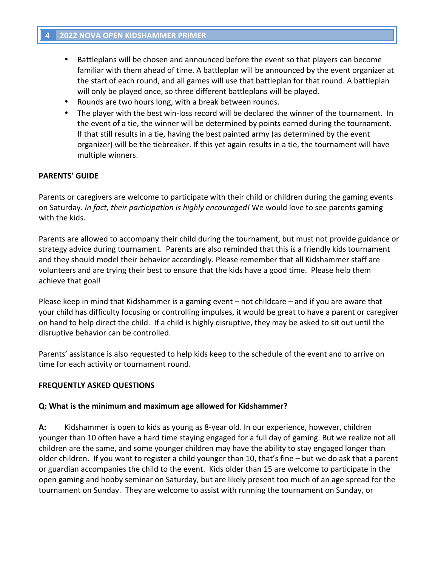- Battleplans will be chosen and announced before the event so that players can become familiar with them ahead of time. A battleplan will be announced by the event organizer at the start of each round, and all games will use that battleplan for that round. A battleplan will only be played once, so three different battleplans will be played.
- Rounds are two hours long, with a break between rounds.
- The player with the best win-loss record will be declared the winner of the tournament. In the event of a tie, the winner will be determined by points earned during the tournament. If that still results in a tie, having the best painted army (as determined by the event organizer) will be the tiebreaker. If this yet again results in a tie, the tournament will have multiple winners.

### **PARENTS' GUIDE**

Parents or caregivers are welcome to participate with their child or children during the gaming events on Saturday. *In fact, their participation is highly encouraged!* We would love to see parents gaming with the kids.

Parents are allowed to accompany their child during the tournament, but must not provide guidance or strategy advice during tournament. Parents are also reminded that this is a friendly kids tournament and they should model their behavior accordingly. Please remember that all Kidshammer staff are volunteers and are trying their best to ensure that the kids have a good time. Please help them achieve that goal!

Please keep in mind that Kidshammer is a gaming event  $-$  not childcare  $-$  and if you are aware that your child has difficulty focusing or controlling impulses, it would be great to have a parent or caregiver on hand to help direct the child. If a child is highly disruptive, they may be asked to sit out until the disruptive behavior can be controlled.

Parents' assistance is also requested to help kids keep to the schedule of the event and to arrive on time for each activity or tournament round.

### **FREQUENTLY ASKED QUESTIONS**

#### **Q:** What is the minimum and maximum age allowed for Kidshammer?

**A:** Kidshammer is open to kids as young as 8-year old. In our experience, however, children younger than 10 often have a hard time staying engaged for a full day of gaming. But we realize not all children are the same, and some younger children may have the ability to stay engaged longer than older children. If you want to register a child younger than 10, that's fine – but we do ask that a parent or guardian accompanies the child to the event. Kids older than 15 are welcome to participate in the open gaming and hobby seminar on Saturday, but are likely present too much of an age spread for the tournament on Sunday. They are welcome to assist with running the tournament on Sunday, or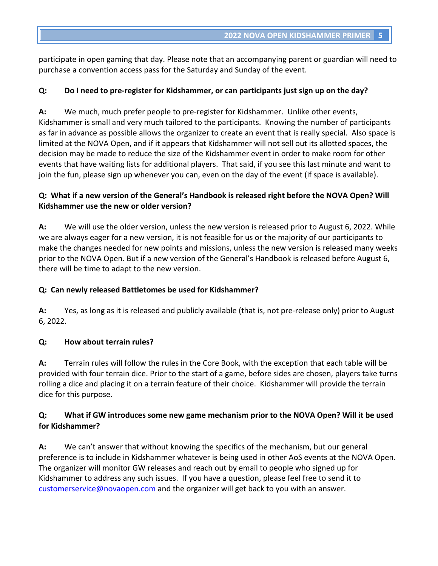participate in open gaming that day. Please note that an accompanying parent or guardian will need to purchase a convention access pass for the Saturday and Sunday of the event.

### **Q:** Do I need to pre-register for Kidshammer, or can participants just sign up on the day?

A: We much, much prefer people to pre-register for Kidshammer. Unlike other events, Kidshammer is small and very much tailored to the participants. Knowing the number of participants as far in advance as possible allows the organizer to create an event that is really special. Also space is limited at the NOVA Open, and if it appears that Kidshammer will not sell out its allotted spaces, the decision may be made to reduce the size of the Kidshammer event in order to make room for other events that have waiting lists for additional players. That said, if you see this last minute and want to join the fun, please sign up whenever you can, even on the day of the event (if space is available).

## **Q:** What if a new version of the General's Handbook is released right before the NOVA Open? Will **Kidshammer** use the new or older version?

A: We will use the older version, unless the new version is released prior to August 6, 2022. While we are always eager for a new version, it is not feasible for us or the majority of our participants to make the changes needed for new points and missions, unless the new version is released many weeks prior to the NOVA Open. But if a new version of the General's Handbook is released before August 6, there will be time to adapt to the new version.

### **Q: Can newly released Battletomes be used for Kidshammer?**

**A:** Yes, as long as it is released and publicly available (that is, not pre-release only) prior to August 6, 2022.

### **Q: How about terrain rules?**

A: Terrain rules will follow the rules in the Core Book, with the exception that each table will be provided with four terrain dice. Prior to the start of a game, before sides are chosen, players take turns rolling a dice and placing it on a terrain feature of their choice. Kidshammer will provide the terrain dice for this purpose.

## **Q:** What if GW introduces some new game mechanism prior to the NOVA Open? Will it be used **for Kidshammer?**

**A:** We can't answer that without knowing the specifics of the mechanism, but our general preference is to include in Kidshammer whatever is being used in other AoS events at the NOVA Open. The organizer will monitor GW releases and reach out by email to people who signed up for Kidshammer to address any such issues. If you have a question, please feel free to send it to customerservice@novaopen.com and the organizer will get back to you with an answer.